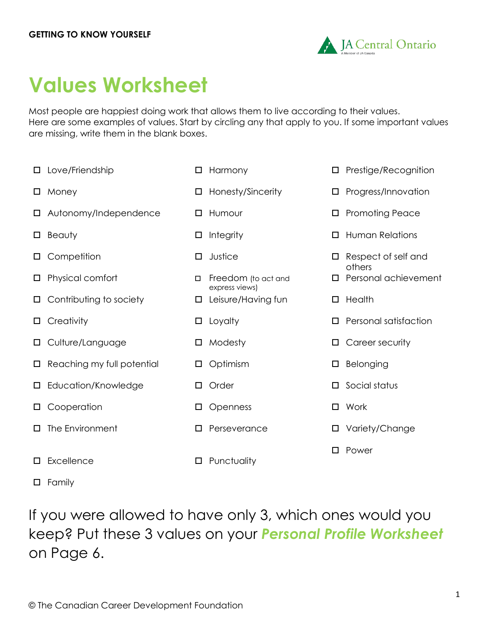

# **Values Worksheet**

Most people are happiest doing work that allows them to live according to their values. Here are some examples of values. Start by circling any that apply to you. If some important values are missing, write them in the blank boxes.

express views)

- Love/Friendship Harmony Prestige/Recognition
- Autonomy/Independence Humour Promoting Peace
- 
- 
- $\Box$  Physical comfort  $\Box$  Freedom (to act and
- $\Box$  Contributing to society  $\Box$  Leisure/Having fun  $\Box$  Health
- 
- Culture/Language Modesty Career security
- □ Reaching my full potential □ Optimism □ D Belonging
- 
- □ Education/Knowledge □ Order □ □ Social status
- O Cooperation **D** Openness **D** Work
- The Environment Perseverance Variety/Change
- $\square$  Excellence  $\square$  Punctuality
- 
- 
- $\Box$  Money  $\Box$  Honesty/Sincerity  $\Box$  Progress/Innovation
	-
- Beauty Integrity Human Relations
- □ Competition □ Justice Respect of self and others
	- Personal achievement
	-
- □ Creativity □ Loyalty □ Loyalty □ Personal satisfaction
	-
	-
	-
	-
	-
	- □ Power

**D** Family

If you were allowed to have only 3, which ones would you keep? Put these 3 values on your *Personal Profile Worksheet* on Page 6.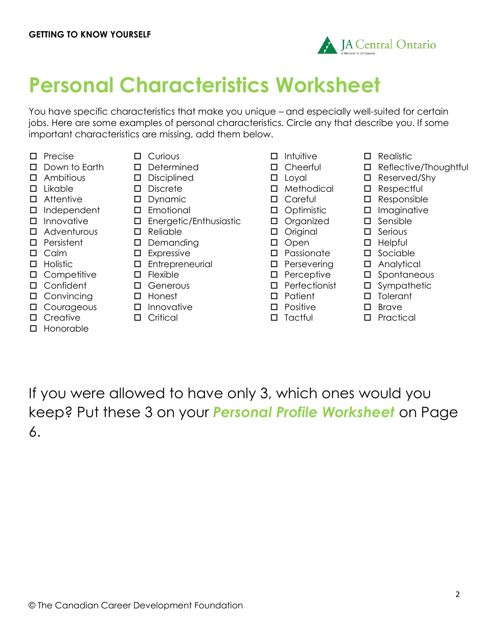

# **Personal Characteristics Worksheet**

You have specific characteristics that make you unique – and especially well-suited for certain jobs. Here are some examples of personal characteristics. Circle any that describe you. If some important characteristics are missing, add them below.

- 
- 
- 
- Ambitious Disciplined Loyal Reserved/Shy
- 
- Attentive Dynamic Careful Responsible
- Independent Emotional Optimistic Imaginative
- 
- Adventurous Reliable Original Serious
- 
- 
- 
- 
- □ Confident □ Generous □ Perfectionist □ Sympathetic
- Convincing Honest Patient Tolerant
- □ Courageous
- Creative
- □ Honorable
- Precise Curious Intuitive Realistic
	-
	-
	-
	-
	-
- $\square$  Innovative  $\square$  Energetic/Enthusiastic  $\square$  Organized  $\square$  Sensible
	-
- D Persistent D Demanding D Open D Helpful
- Calm Expressive Passionate Sociable
- Holistic Entrepreneurial Persevering Analytical
	-
	-
	-
	- $\square$  Innovative
	- Critical
- 
- 
- 
- Likable Discrete Methodical Respectful
	-
	-
	-
	-
	-
	-
	-
	-
	-
	-
	- $\square$  Positive
	- $\square$  Tactful
- 
- Down to Earth Determined Cheerful Reflective/Thoughtful
	-
	-
	-
	-
	-
	-
	-
	-
	-
- □ Competitive D Flexible D Perceptive D Spontaneous
	-
	-
	- □ Brave
	- Practical

If you were allowed to have only 3, which ones would you keep? Put these 3 on your *Personal Profile Worksheet* on Page 6.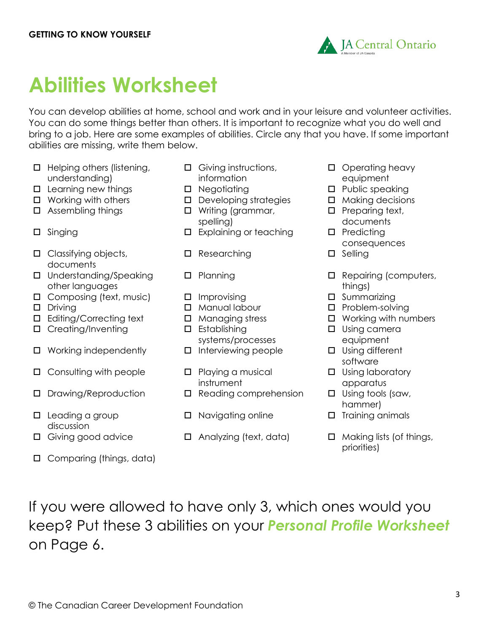

# **Abilities Worksheet**

You can develop abilities at home, school and work and in your leisure and volunteer activities. You can do some things better than others. It is important to recognize what you do well and bring to a job. Here are some examples of abilities. Circle any that you have. If some important abilities are missing, write them below.

- $\Box$  Helping others (listening, understanding)
- □ Learning new things □ Negotiating □ Negotiating □ Public speaking
- 
- 
- 
- $\square$  Classifying objects, documents
- □ Understanding/Speaking other languages
- $\Box$  Composing (text, music)  $\Box$  Improvising  $\Box$  Summarizing
- 
- $\Box$  Editing/Correcting text  $\Box$  Managing stress  $\Box$  Working with numbers
- $\square$  Creating/Inventing  $\square$  Establishing
- $\Box$  Working independently  $\Box$  Interviewing people  $\Box$  Using different
- $\Box$  Consulting with people  $\Box$  Playing a musical
- 
- $\square$  Leading a group discussion
- 
- □ Comparing (things, data)
- Giving instructions, information
- 
- $\Box$  Working with others  $\Box$  Developing strategies  $\Box$  Making decisions
- $\Box$  Assembling things  $\Box$  Writing (grammar, spelling)
- □ Singing □ Predicting Explaining or teaching Predicting
	- $\square$  Researching  $\square$  Selling
	-
	-
	-
	-
	-
	- systems/processes
	-
	- instrument
- $\Box$  Drawing/Reproduction  $\Box$  Reading comprehension  $\Box$  Using tools (saw,
	- $\Box$  Navigating online  $\Box$  Training animals
- $\Box$  Giving good advice  $\Box$  Analyzing (text, data)  $\Box$  Making lists (of things,
- □ Operating heavy equipment
- 
- 
- $\Box$  Preparing text, documents
- 
- consequences
- 
- □ Planning □ Repairing (computers, things)
	-
- □ Driving and Driving B Manual labour D Problem-solving
	-
	- □ Using camera equipment
	- software
	- $\Box$  Using laboratory apparatus
	- hammer)
	-
	- priorities)

If you were allowed to have only 3, which ones would you keep? Put these 3 abilities on your *Personal Profile Worksheet* on Page 6.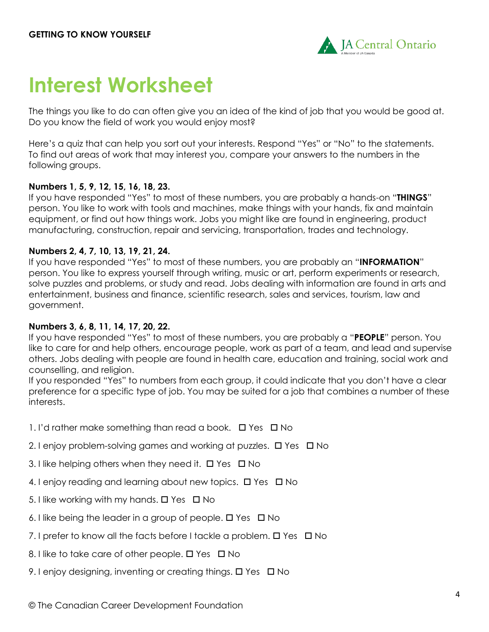

## **Interest Worksheet**

The things you like to do can often give you an idea of the kind of job that you would be good at. Do you know the field of work you would enjoy most?

Here's a quiz that can help you sort out your interests. Respond "Yes" or "No" to the statements. To find out areas of work that may interest you, compare your answers to the numbers in the following groups.

#### **Numbers 1, 5, 9, 12, 15, 16, 18, 23.**

If you have responded "Yes" to most of these numbers, you are probably a hands-on "**THINGS**" person. You like to work with tools and machines, make things with your hands, fix and maintain equipment, or find out how things work. Jobs you might like are found in engineering, product manufacturing, construction, repair and servicing, transportation, trades and technology.

#### **Numbers 2, 4, 7, 10, 13, 19, 21, 24.**

If you have responded "Yes" to most of these numbers, you are probably an "**INFORMATION**" person. You like to express yourself through writing, music or art, perform experiments or research, solve puzzles and problems, or study and read. Jobs dealing with information are found in arts and entertainment, business and finance, scientific research, sales and services, tourism, law and government.

#### **Numbers 3, 6, 8, 11, 14, 17, 20, 22.**

If you have responded "Yes" to most of these numbers, you are probably a "**PEOPLE**" person. You like to care for and help others, encourage people, work as part of a team, and lead and supervise others. Jobs dealing with people are found in health care, education and training, social work and counselling, and religion.

If you responded "Yes" to numbers from each group, it could indicate that you don't have a clear preference for a specific type of job. You may be suited for a job that combines a number of these interests.

1. I'd rather make something than read a book.  $\Box$  Yes  $\Box$  No

- 2. I enjoy problem-solving games and working at puzzles.  $\Box$  Yes  $\Box$  No
- 3. I like helping others when they need it.  $\Box$  Yes  $\Box$  No
- 4. I enjoy reading and learning about new topics.  $\Box$  Yes  $\Box$  No
- 5. I like working with my hands.  $\Box$  Yes  $\Box$  No
- 6. I like being the leader in a group of people.  $\Box$  Yes  $\Box$  No
- 7. I prefer to know all the facts before I tackle a problem.  $\Box$  Yes  $\Box$  No
- 8. I like to take care of other people.  $\Box$  Yes  $\Box$  No
- 9. I enjoy designing, inventing or creating things.  $\Box$  Yes  $\Box$  No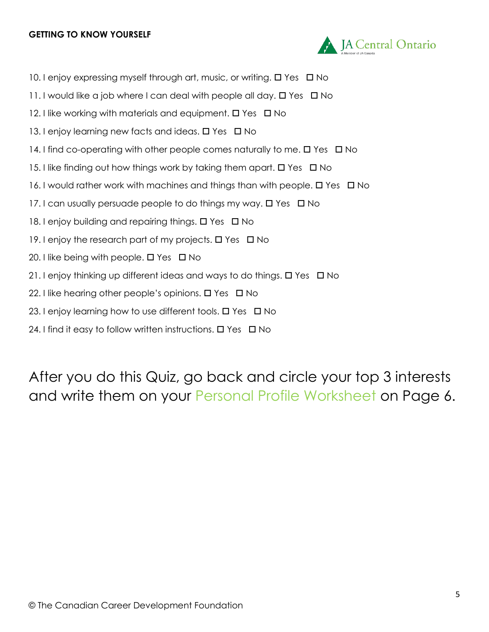#### **GETTING TO KNOW YOURSELF**



- 10. I enjoy expressing myself through art, music, or writing.  $\Box$  Yes  $\Box$  No
- 11. I would like a job where I can deal with people all day.  $\Box$  Yes  $\Box$  No
- 12. I like working with materials and equipment.  $\Box$  Yes  $\Box$  No
- 13. I enjoy learning new facts and ideas.  $\Box$  Yes  $\Box$  No
- 14. I find co-operating with other people comes naturally to me.  $\Box$  Yes  $\Box$  No
- 15. I like finding out how things work by taking them apart.  $\Box$  Yes  $\Box$  No
- 16. I would rather work with machines and things than with people.  $\Box$  Yes  $\Box$  No
- 17. I can usually persuade people to do things my way.  $\Box$  Yes  $\Box$  No
- 18. I enjoy building and repairing things.  $\Box$  Yes  $\Box$  No
- 19. I enjoy the research part of my projects.  $\Box$  Yes  $\Box$  No
- 20. I like being with people.  $\Box$  Yes  $\Box$  No
- 21. I enjoy thinking up different ideas and ways to do things.  $\Box$  Yes  $\Box$  No
- 22. I like hearing other people's opinions.  $\Box$  Yes  $\Box$  No
- 23. I enjoy learning how to use different tools.  $\Box$  Yes  $\Box$  No
- 24. I find it easy to follow written instructions.  $\Box$  Yes  $\Box$  No

After you do this Quiz, go back and circle your top 3 interests and write them on your Personal Profile Worksheet on Page 6.